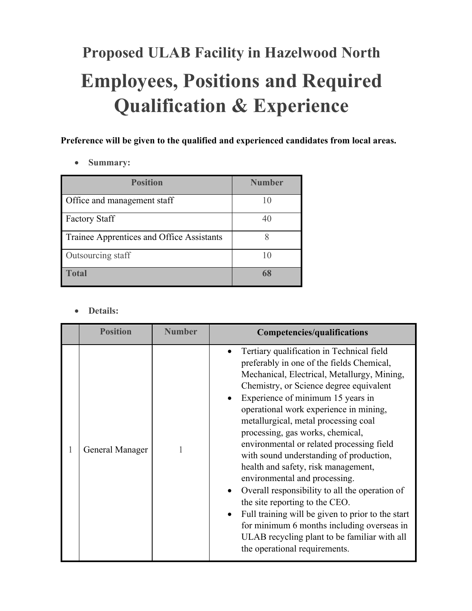## **Proposed ULAB Facility in Hazelwood North Employees, Positions and Required Qualification & Experience**

**Preference will be given to the qualified and experienced candidates from local areas.**

• **Summary:**

| <b>Position</b>                           | <b>Number</b> |
|-------------------------------------------|---------------|
| Office and management staff               |               |
| <b>Factory Staff</b>                      | 4(            |
| Trainee Apprentices and Office Assistants |               |
| Outsourcing staff                         |               |
| <b>Total</b>                              | 68            |

## • **Details:**

| <b>Position</b> | <b>Number</b> | Competencies/qualifications                                                                                                                                                                                                                                                                                                                                                                                                                                                                                                                                                                                                                                                                                                                                                                      |
|-----------------|---------------|--------------------------------------------------------------------------------------------------------------------------------------------------------------------------------------------------------------------------------------------------------------------------------------------------------------------------------------------------------------------------------------------------------------------------------------------------------------------------------------------------------------------------------------------------------------------------------------------------------------------------------------------------------------------------------------------------------------------------------------------------------------------------------------------------|
| General Manager |               | Tertiary qualification in Technical field<br>preferably in one of the fields Chemical,<br>Mechanical, Electrical, Metallurgy, Mining,<br>Chemistry, or Science degree equivalent<br>Experience of minimum 15 years in<br>operational work experience in mining,<br>metallurgical, metal processing coal<br>processing, gas works, chemical,<br>environmental or related processing field<br>with sound understanding of production,<br>health and safety, risk management,<br>environmental and processing.<br>Overall responsibility to all the operation of<br>the site reporting to the CEO.<br>Full training will be given to prior to the start<br>$\bullet$<br>for minimum 6 months including overseas in<br>ULAB recycling plant to be familiar with all<br>the operational requirements. |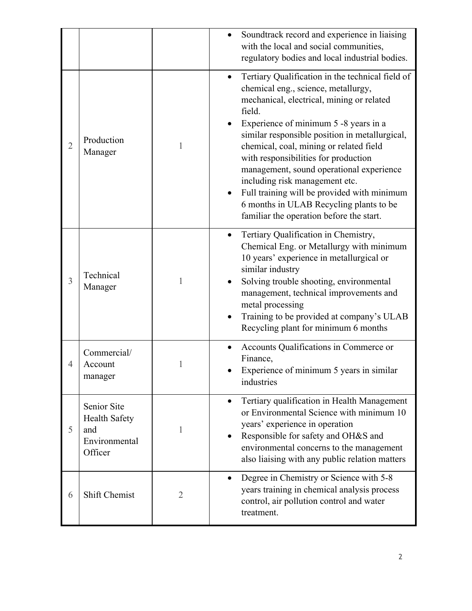|                |                                                                        |                | Soundtrack record and experience in liaising<br>with the local and social communities,<br>regulatory bodies and local industrial bodies.                                                                                                                                                                                                                                                                                                                                                                                                                      |
|----------------|------------------------------------------------------------------------|----------------|---------------------------------------------------------------------------------------------------------------------------------------------------------------------------------------------------------------------------------------------------------------------------------------------------------------------------------------------------------------------------------------------------------------------------------------------------------------------------------------------------------------------------------------------------------------|
| $\overline{2}$ | Production<br>Manager                                                  | 1              | Tertiary Qualification in the technical field of<br>$\bullet$<br>chemical eng., science, metallurgy,<br>mechanical, electrical, mining or related<br>field.<br>Experience of minimum 5 -8 years in a<br>similar responsible position in metallurgical,<br>chemical, coal, mining or related field<br>with responsibilities for production<br>management, sound operational experience<br>including risk management etc.<br>Full training will be provided with minimum<br>6 months in ULAB Recycling plants to be<br>familiar the operation before the start. |
| 3              | Technical<br>Manager                                                   | 1              | Tertiary Qualification in Chemistry,<br>$\bullet$<br>Chemical Eng. or Metallurgy with minimum<br>10 years' experience in metallurgical or<br>similar industry<br>Solving trouble shooting, environmental<br>management, technical improvements and<br>metal processing<br>Training to be provided at company's ULAB<br>$\bullet$<br>Recycling plant for minimum 6 months                                                                                                                                                                                      |
| 4              | Commercial/<br>Account<br>manager                                      |                | Accounts Qualifications in Commerce or<br>Finance,<br>Experience of minimum 5 years in similar<br>industries                                                                                                                                                                                                                                                                                                                                                                                                                                                  |
| 5              | Senior Site<br><b>Health Safety</b><br>and<br>Environmental<br>Officer | 1              | Tertiary qualification in Health Management<br>$\bullet$<br>or Environmental Science with minimum 10<br>years' experience in operation<br>Responsible for safety and OH&S and<br>$\bullet$<br>environmental concerns to the management<br>also liaising with any public relation matters                                                                                                                                                                                                                                                                      |
| 6              | Shift Chemist                                                          | $\overline{2}$ | Degree in Chemistry or Science with 5-8<br>$\bullet$<br>years training in chemical analysis process<br>control, air pollution control and water<br>treatment.                                                                                                                                                                                                                                                                                                                                                                                                 |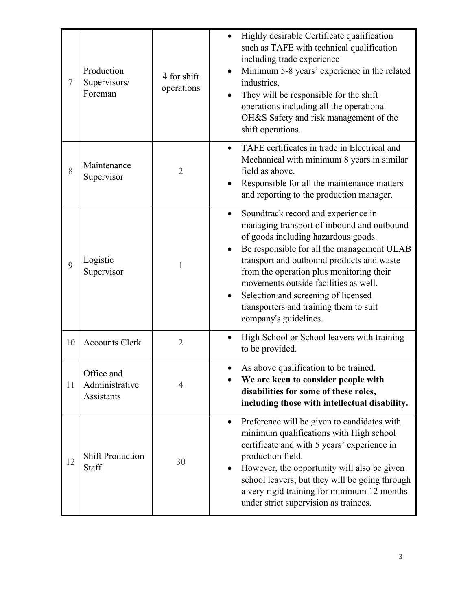| 7  | Production<br>Supervisors/<br>Foreman      | 4 for shift<br>operations | Highly desirable Certificate qualification<br>such as TAFE with technical qualification<br>including trade experience<br>Minimum 5-8 years' experience in the related<br>$\bullet$<br>industries.<br>They will be responsible for the shift<br>operations including all the operational<br>OH&S Safety and risk management of the<br>shift operations.                                                                          |
|----|--------------------------------------------|---------------------------|---------------------------------------------------------------------------------------------------------------------------------------------------------------------------------------------------------------------------------------------------------------------------------------------------------------------------------------------------------------------------------------------------------------------------------|
| 8  | Maintenance<br>Supervisor                  | $\overline{2}$            | TAFE certificates in trade in Electrical and<br>$\bullet$<br>Mechanical with minimum 8 years in similar<br>field as above.<br>Responsible for all the maintenance matters<br>and reporting to the production manager.                                                                                                                                                                                                           |
| 9  | Logistic<br>Supervisor                     | 1                         | Soundtrack record and experience in<br>$\bullet$<br>managing transport of inbound and outbound<br>of goods including hazardous goods.<br>Be responsible for all the management ULAB<br>transport and outbound products and waste<br>from the operation plus monitoring their<br>movements outside facilities as well.<br>Selection and screening of licensed<br>transporters and training them to suit<br>company's guidelines. |
| 10 | <b>Accounts Clerk</b>                      | $\overline{2}$            | High School or School leavers with training<br>to be provided.                                                                                                                                                                                                                                                                                                                                                                  |
| 11 | Office and<br>Administrative<br>Assistants | 4                         | As above qualification to be trained.<br>We are keen to consider people with<br>disabilities for some of these roles,<br>including those with intellectual disability.                                                                                                                                                                                                                                                          |
| 12 | <b>Shift Production</b><br>Staff           | 30                        | Preference will be given to candidates with<br>$\bullet$<br>minimum qualifications with High school<br>certificate and with 5 years' experience in<br>production field.<br>However, the opportunity will also be given<br>school leavers, but they will be going through<br>a very rigid training for minimum 12 months<br>under strict supervision as trainees.                                                                |